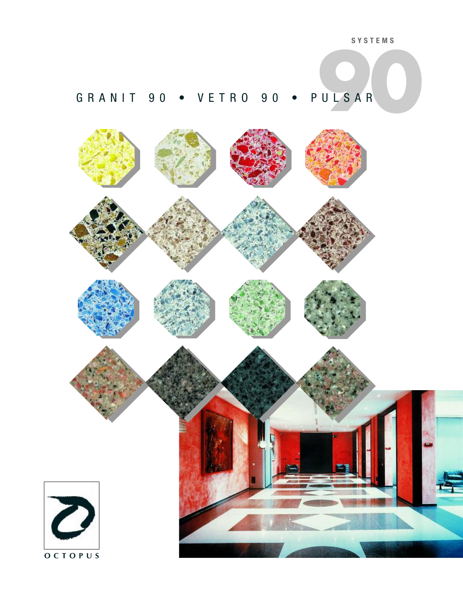# GRANIT 90 • VETRO 90 • PULSAR

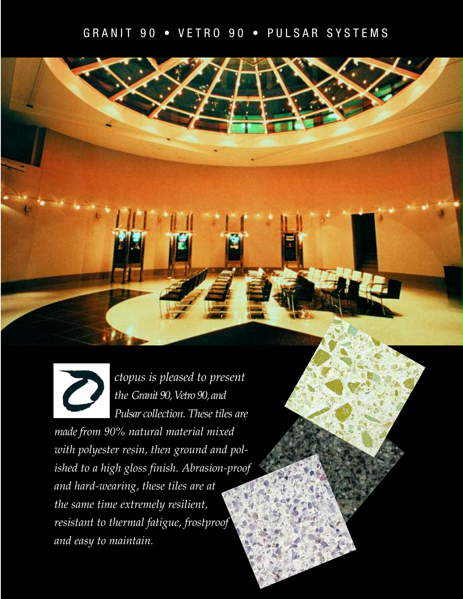## GRANIT 90 • VETRO 90 • PULSAR SYSTEMS





*ctopus is pleased to present the Granit 90, Vetro 90, and Pulsar collection. These tiles are*

*made from 90% natural material mixed with polyester resin, then ground and polished to a high gloss finish. Abrasion-proof and hard-wearing, these tiles are at the same time extremely resilient, resistant to thermal fatigue, frostproof and easy to maintain.*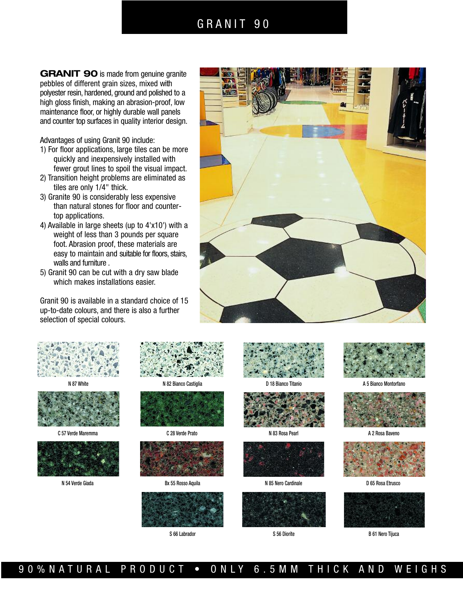### GRANIT 90

**GRANIT 90** is made from genuine granite pebbles of different grain sizes, mixed with polyester resin, hardened, ground and polished to a high gloss finish, making an abrasion-proof, low maintenance floor, or highly durable wall panels and counter top surfaces in quality interior design.

Advantages of using Granit 90 include:

- 1) For floor applications, large tiles can be more quickly and inexpensively installed with fewer grout lines to spoil the visual impact.
- 2) Transition height problems are eliminated as tiles are only 1/4" thick.
- 3) Granite 90 is considerably less expensive than natural stones for floor and countertop applications.
- 4) Available in large sheets (up to 4'x10') with a weight of less than 3 pounds per square foot. Abrasion proof, these materials are easy to maintain and suitable for floors, stairs, walls and furniture .
- 5) Granit 90 can be cut with a dry saw blade which makes installations easier.

Granit 90 is available in a standard choice of 15 up-to-date colours, and there is also a further selection of special colours.







C 57 Verde Maremma C 28 Verde Prato C 28 Verde Prato N 83 Rosa Pearl N 83 Rosa Pearl A 2 Rosa Baveno









N 54 Verde Giada **Bay 1 85 Nero Cardinale D 65 Rosso Aquila** N 85 Nero Cardinale D 65 Rosso Etrusco D 65 Rosso Aquila













N 87 White **N 82 Bianco Castiglia N 82 Bianco Castiglia** D 18 Bianco Titanio A 5 Bianco Montorfano







S 66 Labrador S 56 Diorite B 61 Nero Tijuca

90%NATURAL PRODUCT • ONLY 6.5MM THICK AND WEIGHS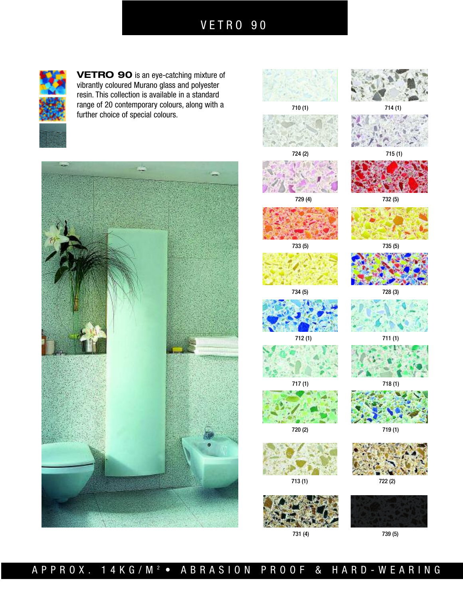VETRO 90



**VETRO 90** is an eye-catching mixture of vibrantly coloured Murano glass and polyester resin. This collection is available in a standard range of 20 contemporary colours, along with a further choice of special colours.



710 (1) 714 (1) 724 (2) 715 (1) 729 (4) 732 (5)









734 (5) 728 (3)



712 (1) 711 (1)



717 (1) 718 (1)







731 (4) 739 (5)







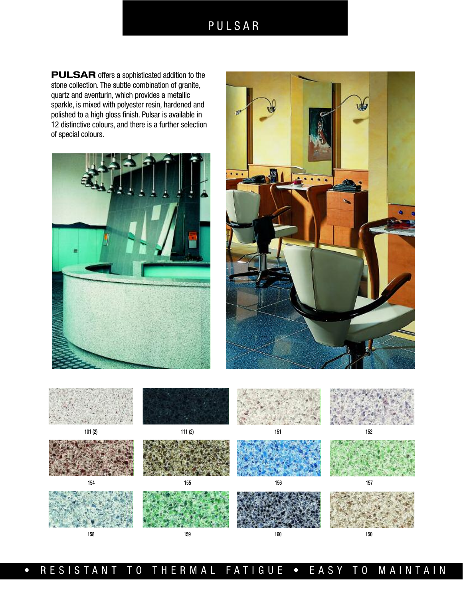## PULSAR

**PULSAR** offers a sophisticated addition to the stone collection. The subtle combination of granite, quartz and aventurin, which provides a metallic sparkle, is mixed with polyester resin, hardened and polished to a high gloss finish. Pulsar is available in 12 distinctive colours, and there is a further selection of special colours.







• RESISTANT TO THERMAL FATIGUE • EASY TO MAINTAIN